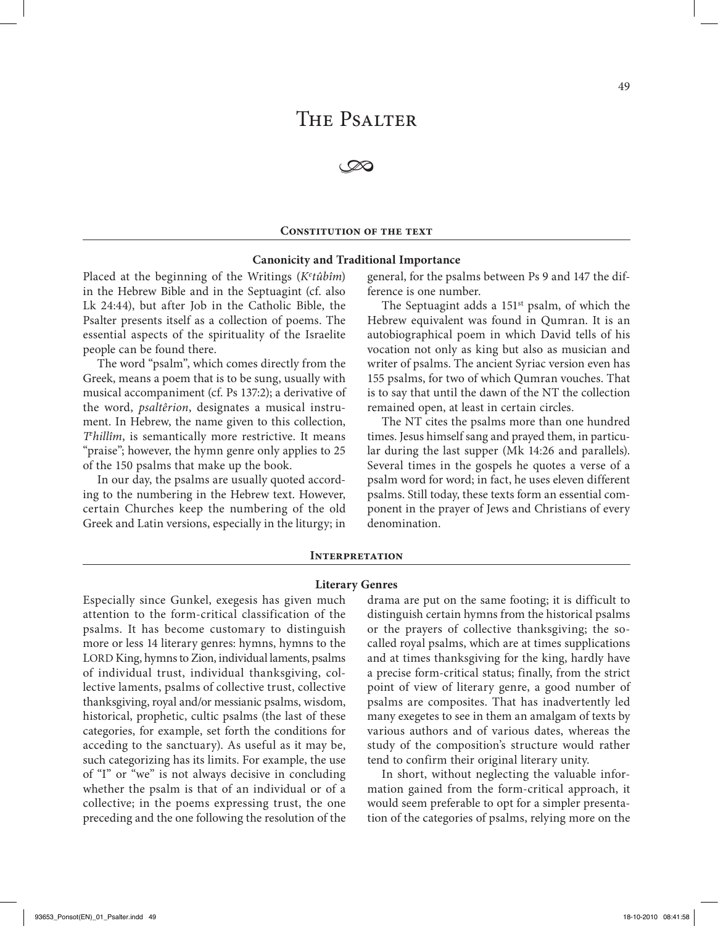# THE PSALTER

**B** 

# **CONSTITUTION OF THE TEXT**

# **Canonicity and Traditional Importance**

Placed at the beginning of the Writings (*Ke tûbîm*) in the Hebrew Bible and in the Septuagint (cf. also Lk 24:44), but after Job in the Catholic Bible, the Psalter presents itself as a collection of poems. The essential aspects of the spirituality of the Israelite people can be found there.

The word "psalm", which comes directly from the Greek, means a poem that is to be sung, usually with musical accompaniment (cf. Ps 137:2); a derivative of the word, *psaltêrion*, designates a musical instrument. In Hebrew, the name given to this collection, *Te hillîm*, is semantically more restrictive. It means "praise"; however, the hymn genre only applies to 25 of the 150 psalms that make up the book.

In our day, the psalms are usually quoted according to the numbering in the Hebrew text. However, certain Churches keep the numbering of the old Greek and Latin versions, especially in the liturgy; in

general, for the psalms between Ps 9 and 147 the difference is one number.

The Septuagint adds a 151<sup>st</sup> psalm, of which the Hebrew equivalent was found in Qumran. It is an autobiographical poem in which David tells of his vocation not only as king but also as musician and writer of psalms. The ancient Syriac version even has 155 psalms, for two of which Qumran vouches. That is to say that until the dawn of the NT the collection remained open, at least in certain circles.

The NT cites the psalms more than one hundred times. Jesus himself sang and prayed them, in particular during the last supper (Mk 14:26 and parallels). Several times in the gospels he quotes a verse of a psalm word for word; in fact, he uses eleven different psalms. Still today, these texts form an essential component in the prayer of Jews and Christians of every denomination.

# **Interpretation**

## **Literary Genres**

Especially since Gunkel, exegesis has given much attention to the form-critical classification of the psalms. It has become customary to distinguish more or less 14 literary genres: hymns, hymns to the LORD King, hymns to Zion, individual laments, psalms of individual trust, individual thanksgiving, collective laments, psalms of collective trust, collective thanksgiving, royal and/or messianic psalms, wisdom, historical, prophetic, cultic psalms (the last of these categories, for example, set forth the conditions for acceding to the sanctuary). As useful as it may be, such categorizing has its limits. For example, the use of "I" or "we" is not always decisive in concluding whether the psalm is that of an individual or of a collective; in the poems expressing trust, the one preceding and the one following the resolution of the

drama are put on the same footing; it is difficult to distinguish certain hymns from the historical psalms or the prayers of collective thanksgiving; the socalled royal psalms, which are at times supplications and at times thanksgiving for the king, hardly have a precise form-critical status; finally, from the strict point of view of literary genre, a good number of psalms are composites. That has inadvertently led many exegetes to see in them an amalgam of texts by various authors and of various dates, whereas the study of the composition's structure would rather tend to confirm their original literary unity.

In short, without neglecting the valuable information gained from the form-critical approach, it would seem preferable to opt for a simpler presentation of the categories of psalms, relying more on the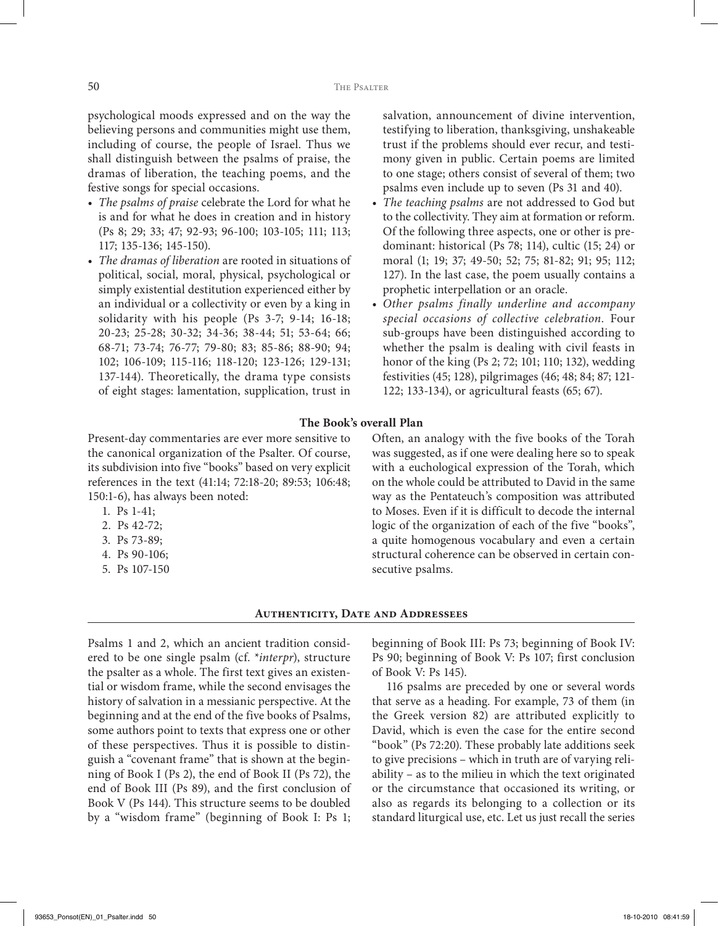psychological moods expressed and on the way the believing persons and communities might use them, including of course, the people of Israel. Thus we shall distinguish between the psalms of praise, the dramas of liberation, the teaching poems, and the festive songs for special occasions.

- *• The psalms of praise* celebrate the Lord for what he is and for what he does in creation and in history (Ps 8; 29; 33; 47; 92-93; 96-100; 103-105; 111; 113; 117; 135-136; 145-150).
- *• The dramas of liberation* are rooted in situations of political, social, moral, physical, psychological or simply existential destitution experienced either by an individual or a collectivity or even by a king in solidarity with his people (Ps 3-7; 9-14; 16-18; 20-23; 25-28; 30-32; 34-36; 38-44; 51; 53-64; 66; 68-71; 73-74; 76-77; 79-80; 83; 85-86; 88-90; 94; 102; 106-109; 115-116; 118-120; 123-126; 129-131; 137-144). Theoretically, the drama type consists of eight stages: lamentation, supplication, trust in

salvation, announcement of divine intervention, testifying to liberation, thanksgiving, unshakeable trust if the problems should ever recur, and testimony given in public. Certain poems are limited to one stage; others consist of several of them; two psalms even include up to seven (Ps 31 and 40).

- *• The teaching psalms* are not addressed to God but to the collectivity. They aim at formation or reform. Of the following three aspects, one or other is predominant: historical (Ps 78; 114), cultic (15; 24) or moral (1; 19; 37; 49-50; 52; 75; 81-82; 91; 95; 112; 127). In the last case, the poem usually contains a prophetic interpellation or an oracle.
- *• Other psalms finally underline and accompany special occasions of collective celebration.* Four sub-groups have been distinguished according to whether the psalm is dealing with civil feasts in honor of the king (Ps 2; 72; 101; 110; 132), wedding festivities (45; 128), pilgrimages (46; 48; 84; 87; 121- 122; 133-134), or agricultural feasts (65; 67).

# **The Book's overall Plan**

Present-day commentaries are ever more sensitive to the canonical organization of the Psalter. Of course, its subdivision into five "books" based on very explicit references in the text (41:14; 72:18-20; 89:53; 106:48; 150:1-6), has always been noted:

- 1. Ps 1-41;
- 2. Ps 42-72;
- 3. Ps 73-89;
- 4. Ps 90-106;
- 5. Ps 107-150

Often, an analogy with the five books of the Torah was suggested, as if one were dealing here so to speak with a euchological expression of the Torah, which on the whole could be attributed to David in the same way as the Pentateuch's composition was attributed to Moses. Even if it is difficult to decode the internal logic of the organization of each of the five "books", a quite homogenous vocabulary and even a certain structural coherence can be observed in certain consecutive psalms.

# **Authenticity, Date and Addressees**

Psalms 1 and 2, which an ancient tradition considered to be one single psalm (cf. \**interpr*), structure the psalter as a whole. The first text gives an existential or wisdom frame, while the second envisages the history of salvation in a messianic perspective. At the beginning and at the end of the five books of Psalms, some authors point to texts that express one or other of these perspectives. Thus it is possible to distinguish a "covenant frame" that is shown at the beginning of Book I (Ps 2), the end of Book II (Ps 72), the end of Book III (Ps 89), and the first conclusion of Book V (Ps 144). This structure seems to be doubled by a "wisdom frame" (beginning of Book I: Ps 1; beginning of Book III: Ps 73; beginning of Book IV: Ps 90; beginning of Book V: Ps 107; first conclusion of Book V: Ps 145).

116 psalms are preceded by one or several words that serve as a heading. For example, 73 of them (in the Greek version 82) are attributed explicitly to David, which is even the case for the entire second "book" (Ps 72:20). These probably late additions seek to give precisions – which in truth are of varying reliability – as to the milieu in which the text originated or the circumstance that occasioned its writing, or also as regards its belonging to a collection or its standard liturgical use, etc. Let us just recall the series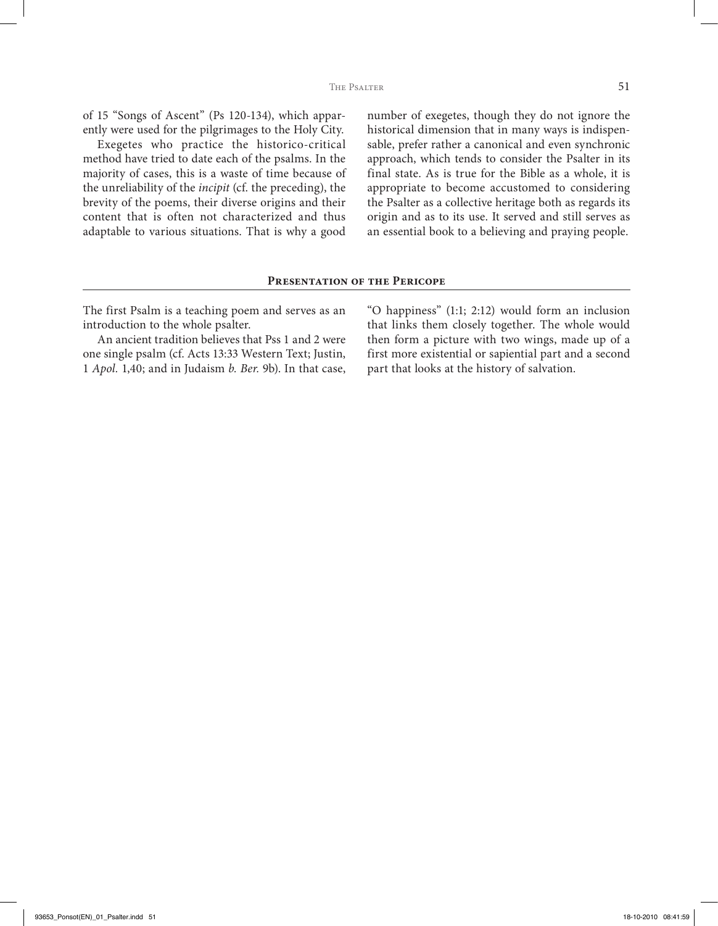of 15 "Songs of Ascent" (Ps 120-134), which apparently were used for the pilgrimages to the Holy City.

Exegetes who practice the historico-critical method have tried to date each of the psalms. In the majority of cases, this is a waste of time because of the unreliability of the *incipit* (cf. the preceding), the brevity of the poems, their diverse origins and their content that is often not characterized and thus adaptable to various situations. That is why a good number of exegetes, though they do not ignore the historical dimension that in many ways is indispensable, prefer rather a canonical and even synchronic approach, which tends to consider the Psalter in its final state. As is true for the Bible as a whole, it is appropriate to become accustomed to considering the Psalter as a collective heritage both as regards its origin and as to its use. It served and still serves as an essential book to a believing and praying people.

# **Presentation of the Pericope**

The first Psalm is a teaching poem and serves as an introduction to the whole psalter.

An ancient tradition believes that Pss 1 and 2 were one single psalm (cf. Acts 13:33 Western Text; Justin, 1 *Apol.* 1,40; and in Judaism *b. Ber.* 9b). In that case, "O happiness" (1:1; 2:12) would form an inclusion that links them closely together. The whole would then form a picture with two wings, made up of a first more existential or sapiential part and a second part that looks at the history of salvation.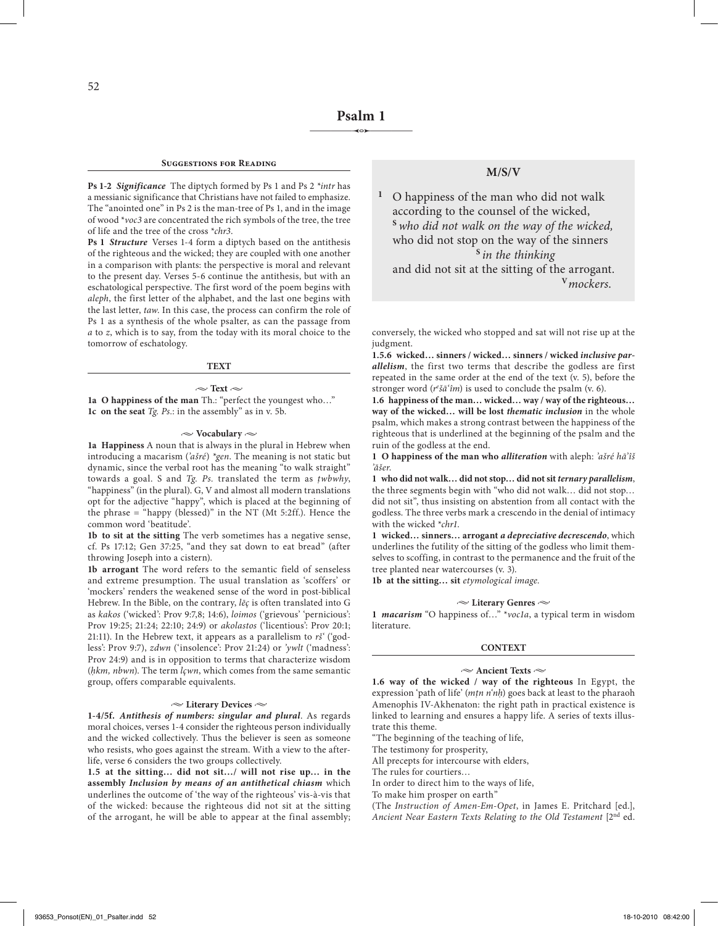#### **Suggestions for Reading**

**Ps 1-2** *Significance* The diptych formed by Ps 1 and Ps 2 *\*intr* has a messianic significance that Christians have not failed to emphasize. The "anointed one" in Ps 2 is the man-tree of Ps 1, and in the image of wood \**voc3* are concentrated the rich symbols of the tree, the tree of life and the tree of the cross \**chr3*.

**Ps 1** *Structure* Verses 1-4 form a diptych based on the antithesis of the righteous and the wicked; they are coupled with one another in a comparison with plants: the perspective is moral and relevant to the present day. Verses 5-6 continue the antithesis, but with an eschatological perspective. The first word of the poem begins with *aleph*, the first letter of the alphabet, and the last one begins with the last letter, *taw*. In this case, the process can confirm the role of Ps 1 as a synthesis of the whole psalter, as can the passage from *a* to *z*, which is to say, from the today with its moral choice to the tomorrow of eschatology.

#### **TEXT**

 $\sim$  Text  $\sim$ **1a O happiness of the man** Th.: "perfect the youngest who…" **1c on the seat** *Tg. Ps.*: in the assembly" as in v. 5b.

#### **• Vocabulary •**

**1a Happiness** A noun that is always in the plural in Hebrew when introducing a macarism (*'ašré*) *\*gen*. The meaning is not static but dynamic, since the verbal root has the meaning "to walk straight" towards a goal. S and *Tg. Ps.* translated the term as *ṭwbwhy*, "happiness" (in the plural). G, V and almost all modern translations opt for the adjective "happy", which is placed at the beginning of the phrase = "happy (blessed)" in the NT (Mt 5:2ff.). Hence the common word 'beatitude'.

**1b to sit at the sitting** The verb sometimes has a negative sense, cf. Ps 17:12; Gen 37:25, "and they sat down to eat bread" (after throwing Joseph into a cistern).

**1b arrogant** The word refers to the semantic field of senseless and extreme presumption. The usual translation as 'scoffers' or 'mockers' renders the weakened sense of the word in post-biblical Hebrew. In the Bible, on the contrary, *lēç* is often translated into G as *kakos* ('wicked': Prov 9:7,8; 14:6), *loimos* ('grievous' 'pernicious': Prov 19:25; 21:24; 22:10; 24:9) or *akolastos* ('licentious': Prov 20:1; 21:11). In the Hebrew text, it appears as a parallelism to *rš'* ('godless': Prov 9:7), *zdwn* ('insolence': Prov 21:24) or *'ywlt* ('madness': Prov 24:9) and is in opposition to terms that characterize wisdom (*ḥkm, nbwn*). The term *lçwn*, which comes from the same semantic group, offers comparable equivalents.

## **• Literary Devices •**

**1-4/5f.** *Antithesis of numbers: singular and plural*. As regards moral choices, verses 1-4 consider the righteous person individually and the wicked collectively. Thus the believer is seen as someone who resists, who goes against the stream. With a view to the afterlife, verse 6 considers the two groups collectively.

**1.5 at the sitting… did not sit…/ will not rise up… in the assembly** *Inclusion by means of an antithetical chiasm* which underlines the outcome of 'the way of the righteous' vis-à-vis that of the wicked: because the righteous did not sit at the sitting of the arrogant, he will be able to appear at the final assembly;

# **M/S/V**

**<sup>1</sup>** O happiness of the man who did not walk according to the counsel of the wicked, **<sup>S</sup>***who did not walk on the way of the wicked,* who did not stop on the way of the sinners **<sup>S</sup>***in the thinking* and did not sit at the sitting of the arrogant.

**<sup>V</sup>***mockers*.

conversely, the wicked who stopped and sat will not rise up at the judgment.

**1.5.6 wicked… sinners / wicked… sinners / wicked** *inclusive parallelism*, the first two terms that describe the godless are first repeated in the same order at the end of the text (v. 5), before the stronger word (*re šā'îm*) is used to conclude the psalm (v. 6).

**1.6 happiness of the man… wicked… way / way of the righteous… way of the wicked… will be lost** *thematic inclusion* in the whole psalm, which makes a strong contrast between the happiness of the righteous that is underlined at the beginning of the psalm and the ruin of the godless at the end.

**1 O happiness of the man who** *alliteration* with aleph: *'ašré hā'îš 'ăšer*.

**1 who did not walk… did not stop… did not sit** *ternary parallelism*, the three segments begin with "who did not walk… did not stop… did not sit", thus insisting on abstention from all contact with the godless. The three verbs mark a crescendo in the denial of intimacy with the wicked \**chr1*.

**1 wicked… sinners… arrogant** *a depreciative decrescendo*, which underlines the futility of the sitting of the godless who limit themselves to scoffing, in contrast to the permanence and the fruit of the tree planted near watercourses (v. 3).

**1b at the sitting… sit** *etymological image.*

#### **• Literary Genres •**

**1** *macarism* "O happiness of…" \**voc1a*, a typical term in wisdom literature.

#### **CONTEXT**

## **• Ancient Texts •**

**1.6 way of the wicked / way of the righteous** In Egypt, the expression 'path of life' (*mṭn n'nḥ*) goes back at least to the pharaoh Amenophis IV-Akhenaton: the right path in practical existence is linked to learning and ensures a happy life. A series of texts illustrate this theme.

"The beginning of the teaching of life,

The testimony for prosperity,

All precepts for intercourse with elders,

The rules for courtiers…

In order to direct him to the ways of life,

To make him prosper on earth"

(The *Instruction of Amen-Em-Opet*, in James E. Pritchard [ed.], *Ancient Near Eastern Texts Relating to the Old Testament* [2nd ed.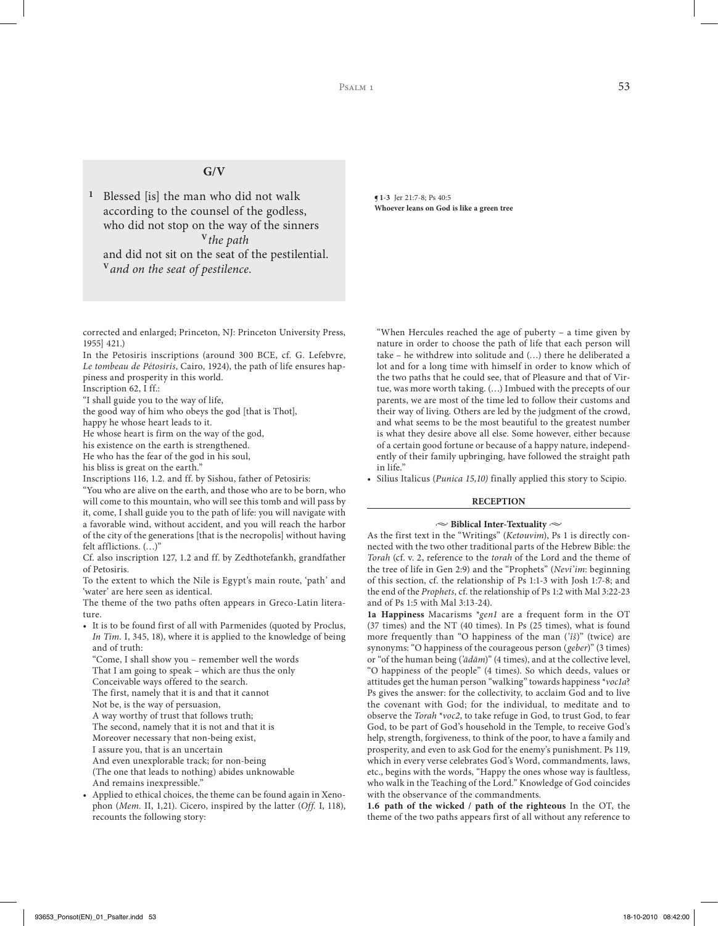# **G/V**

**<sup>1</sup>** Blessed [is] the man who did not walk according to the counsel of the godless, who did not stop on the way of the sinners **<sup>V</sup>***the path*

and did not sit on the seat of the pestilential. **<sup>V</sup>***and on the seat of pestilence*.

corrected and enlarged; Princeton, NJ: Princeton University Press, 1955] 421.)

In the Petosiris inscriptions (around 300 BCE, cf. G. Lefebvre, *Le tombeau de Pétosiris*, Cairo, 1924), the path of life ensures happiness and prosperity in this world.

Inscription 62, I ff.:

"I shall guide you to the way of life,

the good way of him who obeys the god [that is Thot],

happy he whose heart leads to it.

He whose heart is firm on the way of the god,

his existence on the earth is strengthened.

He who has the fear of the god in his soul,

his bliss is great on the earth."

Inscriptions 116, 1.2. and ff. by Sishou, father of Petosiris:

"You who are alive on the earth, and those who are to be born, who will come to this mountain, who will see this tomb and will pass by it, come, I shall guide you to the path of life: you will navigate with a favorable wind, without accident, and you will reach the harbor of the city of the generations [that is the necropolis] without having felt afflictions. (…)"

Cf. also inscription 127, 1.2 and ff. by Zedthotefankh, grandfather of Petosiris.

To the extent to which the Nile is Egypt's main route, 'path' and 'water' are here seen as identical.

The theme of the two paths often appears in Greco-Latin literature.

- It is to be found first of all with Parmenides (quoted by Proclus, *In Tim.* I, 345, 18), where it is applied to the knowledge of being and of truth:
	- "Come, I shall show you remember well the words
	- That I am going to speak which are thus the only
	- Conceivable ways offered to the search.
	- The first, namely that it is and that it cannot
	- Not be, is the way of persuasion,

A way worthy of trust that follows truth;

- The second, namely that it is not and that it is
- Moreover necessary that non-being exist,

I assure you, that is an uncertain

And even unexplorable track; for non-being

(The one that leads to nothing) abides unknowable And remains inexpressible."

• Applied to ethical choices, the theme can be found again in Xenophon (*Mem.* II, 1,21). Cicero, inspired by the latter (*Off.* I, 118), recounts the following story:

**¶1-3** Jer 21:7-8; Ps 40:5 **Whoever leans on God is like a green tree**

"When Hercules reached the age of puberty – a time given by nature in order to choose the path of life that each person will take – he withdrew into solitude and (…) there he deliberated a lot and for a long time with himself in order to know which of the two paths that he could see, that of Pleasure and that of Virtue, was more worth taking. (…) Imbued with the precepts of our parents, we are most of the time led to follow their customs and their way of living. Others are led by the judgment of the crowd, and what seems to be the most beautiful to the greatest number is what they desire above all else. Some however, either because of a certain good fortune or because of a happy nature, independently of their family upbringing, have followed the straight path in life<sup>?</sup>

• Silius Italicus (*Punica 15,10)* finally applied this story to Scipio.

# **RECEPTION**

#### $\sim$  Biblical Inter-Textuality  $\sim$

As the first text in the "Writings" (*Ketouvim*), Ps 1 is directly connected with the two other traditional parts of the Hebrew Bible: the *Torah* (cf. v. 2, reference to the *torah* of the Lord and the theme of the tree of life in Gen 2:9) and the "Prophets" (*Nevi'im*: beginning of this section, cf. the relationship of Ps 1:1-3 with Josh 1:7-8; and the end of the *Prophets*, cf. the relationship of Ps 1:2 with Mal 3:22-23 and of Ps 1:5 with Mal 3:13-24).

**1a Happiness** Macarisms \**gen1* are a frequent form in the OT (37 times) and the NT (40 times). In Ps (25 times), what is found more frequently than "O happiness of the man (*'îš*)" (twice) are synonyms: "O happiness of the courageous person (*geber*)" (3 times) or "of the human being (*'ādām*)" (4 times), and at the collective level, "O happiness of the people" (4 times). So which deeds, values or attitudes get the human person "walking" towards happiness \**voc1a*? Ps gives the answer: for the collectivity, to acclaim God and to live the covenant with God; for the individual, to meditate and to observe the *Torah* \**voc2*, to take refuge in God, to trust God, to fear God, to be part of God's household in the Temple, to receive God's help, strength, forgiveness, to think of the poor, to have a family and prosperity, and even to ask God for the enemy's punishment. Ps 119, which in every verse celebrates God's Word, commandments, laws, etc., begins with the words, "Happy the ones whose way is faultless, who walk in the Teaching of the Lord." Knowledge of God coincides with the observance of the commandments.

**1.6 path of the wicked / path of the righteous** In the OT, the theme of the two paths appears first of all without any reference to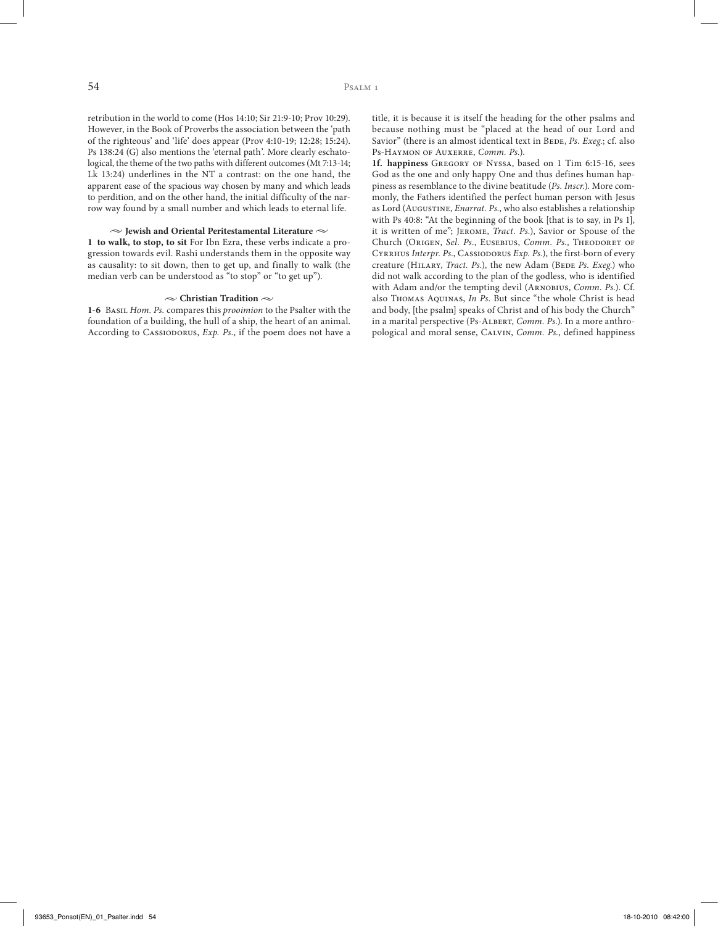retribution in the world to come (Hos 14:10; Sir 21:9-10; Prov 10:29). However, in the Book of Proverbs the association between the 'path of the righteous' and 'life' does appear (Prov 4:10-19; 12:28; 15:24). Ps 138:24 (G) also mentions the 'eternal path'. More clearly eschatological, the theme of the two paths with different outcomes (Mt 7:13-14; Lk 13:24) underlines in the NT a contrast: on the one hand, the apparent ease of the spacious way chosen by many and which leads to perdition, and on the other hand, the initial difficulty of the narrow way found by a small number and which leads to eternal life.

#### **• Jewish and Oriental Peritestamental Literature •**

**1 to walk, to stop, to sit** For Ibn Ezra, these verbs indicate a progression towards evil. Rashi understands them in the opposite way as causality: to sit down, then to get up, and finally to walk (the median verb can be understood as "to stop" or "to get up").

#### $\sim$  Christian Tradition  $\sim$

**1-6** Basil *Hom. Ps.* compares this *prooimion* to the Psalter with the foundation of a building, the hull of a ship, the heart of an animal. According to CASSIODORUS, *Exp. Ps.*, if the poem does not have a title, it is because it is itself the heading for the other psalms and because nothing must be "placed at the head of our Lord and Savior" (there is an almost identical text in BEDE, *Ps. Exeg.*; cf. also Ps-Haymon of Auxerre, *Comm. Ps.*).

**1f. happiness** Gregory of Nyssa, based on 1 Tim 6:15-16, sees God as the one and only happy One and thus defines human happiness as resemblance to the divine beatitude (*Ps. Inscr.*). More commonly, the Fathers identified the perfect human person with Jesus as Lord (Augustine, *Enarrat. Ps.*, who also establishes a relationship with Ps 40:8: "At the beginning of the book [that is to say, in Ps 1], it is written of me"; Jerome, *Tract. Ps.*), Savior or Spouse of the Church (Origen, *Sel. Ps.*, Eusebius, *Comm. Ps.*, Theodoret of Cyrrhus *Interpr. Ps.*, Cassiodorus *Exp. Ps.*), the first-born of every creature (HILARY, *Tract. Ps.*), the new Adam (BEDE *Ps. Exeg.*) who did not walk according to the plan of the godless, who is identified with Adam and/or the tempting devil (Arnobius, *Comm. Ps.*). Cf. also Thomas Aquinas, *In Ps*. But since "the whole Christ is head and body, [the psalm] speaks of Christ and of his body the Church" in a marital perspective (Ps-ALBERT, *Comm. Ps.*). In a more anthropological and moral sense, Calvin, *Comm. Ps.*, defined happiness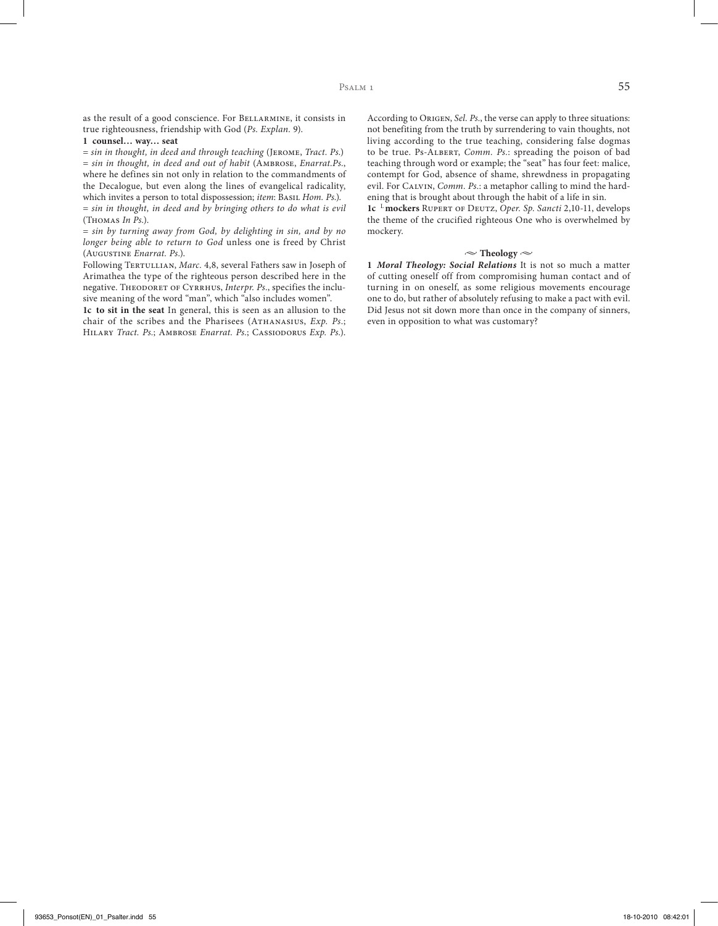as the result of a good conscience. For BELLARMINE, it consists in true righteousness, friendship with God (*Ps. Explan.* 9).

## **1 counsel… way… seat**

= *sin in thought, in deed and through teaching* (Jerome, *Tract. Ps.*) = *sin in thought, in deed and out of habit* (Ambrose, *Enarrat.Ps.*, where he defines sin not only in relation to the commandments of the Decalogue, but even along the lines of evangelical radicality, which invites a person to total dispossession; *item*: BASIL *Hom. Ps.*). = *sin in thought, in deed and by bringing others to do what is evil*  (Thomas *In Ps.*).

= *sin by turning away from God, by delighting in sin, and by no longer being able to return to God* unless one is freed by Christ (Augustine *Enarrat. Ps.*).

Following TERTULLIAN, Marc. 4,8, several Fathers saw in Joseph of Arimathea the type of the righteous person described here in the negative. THEODORET OF CYRRHUS, *Interpr. Ps.*, specifies the inclusive meaning of the word "man", which "also includes women".

**1c to sit in the seat** In general, this is seen as an allusion to the chair of the scribes and the Pharisees (ATHANASIUS, *Exp. Ps.*; Hilary *Tract. Ps.*; Ambrose *Enarrat. Ps.*; Cassiodorus *Exp. Ps.*).

According to ORIGEN, *Sel. Ps.*, the verse can apply to three situations: not benefiting from the truth by surrendering to vain thoughts, not living according to the true teaching, considering false dogmas to be true. Ps-Albert, *Comm. Ps.*: spreading the poison of bad teaching through word or example; the "seat" has four feet: malice, contempt for God, absence of shame, shrewdness in propagating evil. For Calvin, *Comm. Ps.*: a metaphor calling to mind the hardening that is brought about through the habit of a life in sin.

**1c** <sup>L</sup>**mockers** Rupert of Deutz, *Oper. Sp. Sancti* 2,10-11, develops the theme of the crucified righteous One who is overwhelmed by mockery.

#### $\sim$  Theology  $\sim$

**1** *Moral Theology: Social Relations* It is not so much a matter of cutting oneself off from compromising human contact and of turning in on oneself, as some religious movements encourage one to do, but rather of absolutely refusing to make a pact with evil. Did Jesus not sit down more than once in the company of sinners, even in opposition to what was customary?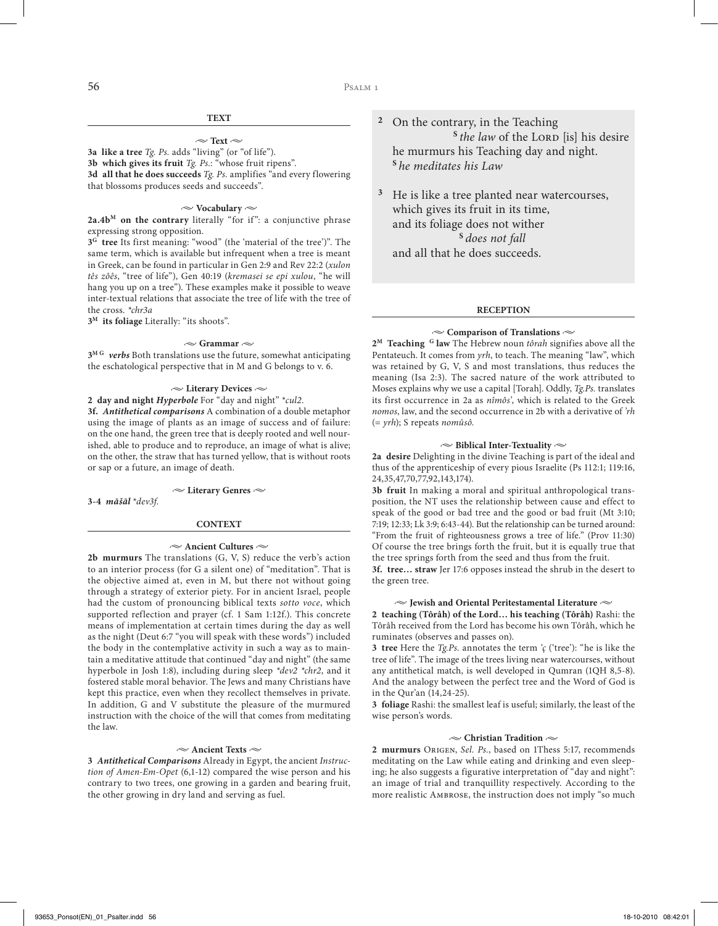# **TEXT**

#### $\sim$  Text  $\sim$

**3a like a tree** *Tg. Ps.* adds "living" (or "of life"). **3b which gives its fruit** *Tg. Ps.*: "whose fruit ripens". **3d all that he does succeeds** *Tg. Ps.* amplifies "and every flowering that blossoms produces seeds and succeeds".

#### **• Vocabulary •**

**2a.4bM on the contrary** literally "for if": a conjunctive phrase expressing strong opposition.

**3G tree** Its first meaning: "wood" (the 'material of the tree')". The same term, which is available but infrequent when a tree is meant in Greek, can be found in particular in Gen 2:9 and Rev 22:2 (*xulon tês zôês*, "tree of life"), Gen 40:19 (*kremasei se epi xulou*, "he will hang you up on a tree"). These examples make it possible to weave inter-textual relations that associate the tree of life with the tree of the cross. *\*chr3a*

**3M its foliage** Literally: "its shoots".

#### $\sim$  Grammar  $\sim$

**3M G** *verbs* Both translations use the future, somewhat anticipating the eschatological perspective that in M and G belongs to v. 6.

#### **• Literary Devices •**

# **2 day and night** *Hyperbole* For "day and night" \**cul2*.

**3f.** *Antithetical comparisons* A combination of a double metaphor using the image of plants as an image of success and of failure: on the one hand, the green tree that is deeply rooted and well nourished, able to produce and to reproduce, an image of what is alive; on the other, the straw that has turned yellow, that is without roots or sap or a future, an image of death.

#### **• Literary Genres •**

**3-4** *māšāl* \**dev3f*.

#### **CONTEXT**

#### **• Ancient Cultures •**

**2b murmurs** The translations (G, V, S) reduce the verb's action to an interior process (for G a silent one) of "meditation". That is the objective aimed at, even in M, but there not without going through a strategy of exterior piety. For in ancient Israel, people had the custom of pronouncing biblical texts *sotto voce*, which supported reflection and prayer (cf. 1 Sam 1:12f.). This concrete means of implementation at certain times during the day as well as the night (Deut 6:7 "you will speak with these words") included the body in the contemplative activity in such a way as to maintain a meditative attitude that continued "day and night" (the same hyperbole in Josh 1:8), including during sleep *\*dev2 \*chr2*, and it fostered stable moral behavior. The Jews and many Christians have kept this practice, even when they recollect themselves in private. In addition, G and V substitute the pleasure of the murmured instruction with the choice of the will that comes from meditating the law.

#### **• Ancient Texts •**

**3** *Antithetical Comparisons* Already in Egypt, the ancient *Instruction of Amen-Em-Opet* (6,1-12) compared the wise person and his contrary to two trees, one growing in a garden and bearing fruit, the other growing in dry land and serving as fuel.

**<sup>2</sup>** On the contrary, in the Teaching <sup>S</sup> the law of the LORD [is] his desire he murmurs his Teaching day and night. **<sup>S</sup>***he meditates his Law*

**<sup>3</sup>** He is like a tree planted near watercourses, which gives its fruit in its time, and its foliage does not wither **<sup>S</sup>***does not fall*  and all that he does succeeds.

#### **RECEPTION**

# **• Comparison of Translations •**

**2M Teaching G law** The Hebrew noun *tôrah* signifies above all the Pentateuch. It comes from *yrh*, to teach. The meaning "law", which was retained by G, V, S and most translations, thus reduces the meaning (Isa 2:3). The sacred nature of the work attributed to Moses explains why we use a capital [Torah]. Oddly, *Tg.Ps.* translates its first occurrence in 2a as *nîmôs'*, which is related to the Greek *nomos*, law, and the second occurrence in 2b with a derivative of *'rh*  (= *yrh*); S repeats *nomûsô.*

## **• Biblical Inter-Textuality •**

**2a desire** Delighting in the divine Teaching is part of the ideal and thus of the apprenticeship of every pious Israelite (Ps 112:1; 119:16, 24,35,47,70,77,92,143,174).

**3b fruit** In making a moral and spiritual anthropological transposition, the NT uses the relationship between cause and effect to speak of the good or bad tree and the good or bad fruit (Mt 3:10; 7:19; 12:33; Lk 3:9; 6:43-44). But the relationship can be turned around: "From the fruit of righteousness grows a tree of life." (Prov 11:30) Of course the tree brings forth the fruit, but it is equally true that the tree springs forth from the seed and thus from the fruit.

**3f. tree… straw** Jer 17:6 opposes instead the shrub in the desert to the green tree.

#### **• Jewish and Oriental Peritestamental Literature •**

**2 teaching (Tôrâh) of the Lord… his teaching (Tôrâh)** Rashi: the Tôrâh received from the Lord has become his own Tôrâh, which he ruminates (observes and passes on).

**3 tree** Here the *Tg.Ps.* annotates the term *'ç* ('tree'): "he is like the tree of life". The image of the trees living near watercourses, without any antithetical match, is well developed in Qumran (1QH 8,5-8). And the analogy between the perfect tree and the Word of God is in the Qur'an (14,24-25).

**3 foliage** Rashi: the smallest leaf is useful; similarly, the least of the wise person's words.

#### **• Christian Tradition •**

**2 murmurs** Origen, *Sel. Ps.*, based on 1Thess 5:17, recommends meditating on the Law while eating and drinking and even sleeping; he also suggests a figurative interpretation of "day and night": an image of trial and tranquillity respectively. According to the more realistic Ambrose, the instruction does not imply "so much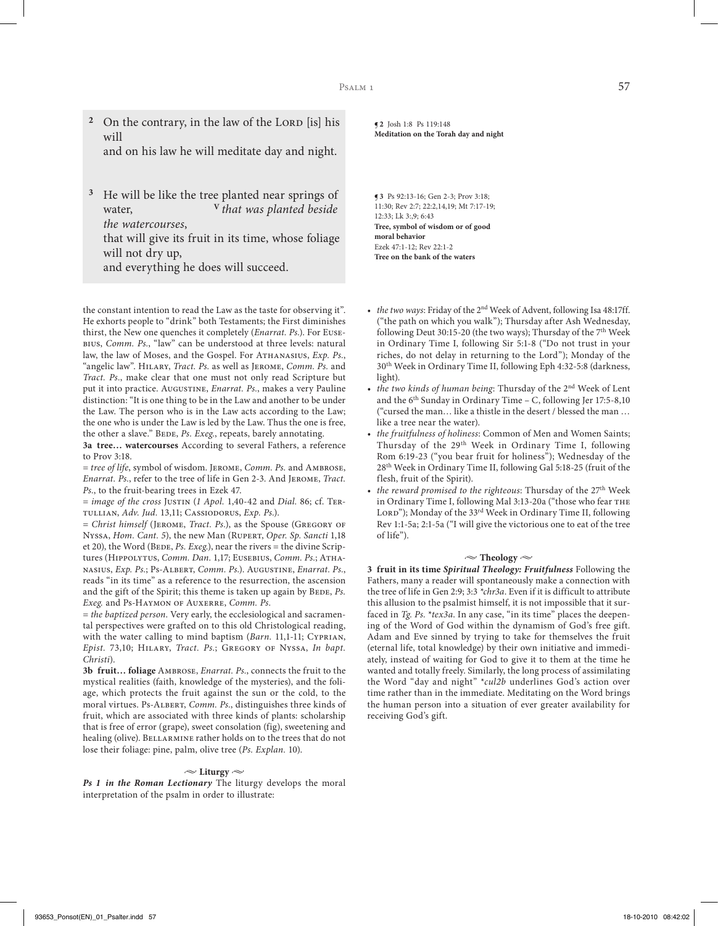<sup>2</sup> On the contrary, in the law of the LORD [is] his will

and on his law he will meditate day and night.

**<sup>3</sup>** He will be like the tree planted near springs of water, **<sup>V</sup>***that was planted beside the watercourses*, that will give its fruit in its time, whose foliage

will not dry up, and everything he does will succeed.

the constant intention to read the Law as the taste for observing it". He exhorts people to "drink" both Testaments; the First diminishes thirst, the New one quenches it completely (*Enarrat. Ps.*). For Eusebius, *Comm. Ps.*, "law" can be understood at three levels: natural law, the law of Moses, and the Gospel. For ATHANASIUS, *Exp. Ps.*, "angelic law". Hilary, *Tract. Ps.* as well as Jerome, *Comm. Ps.* and *Tract. Ps.*, make clear that one must not only read Scripture but put it into practice. AuGusTINE, *Enarrat. Ps.*, makes a very Pauline distinction: "It is one thing to be in the Law and another to be under the Law. The person who is in the Law acts according to the Law; the one who is under the Law is led by the Law. Thus the one is free, the other a slave." BEDE, Ps. Exeg., repeats, barely annotating.

**3a tree… watercourses** According to several Fathers, a reference to Prov 3:18.

= *tree of life*, symbol of wisdom. Jerome, *Comm. Ps.* and Ambrose, *Enarrat. Ps.*, refer to the tree of life in Gen 2-3. And Jerome, *Tract. Ps.*, to the fruit-bearing trees in Ezek 47.

= *image of the cross* Justin (*1 Apol.* 1,40-42 and *Dial.* 86; cf. Tertullian, *Adv. Jud.* 13,11; Cassiodorus, *Exp. Ps.*).

= *Christ himself* (Jerome, *Tract. Ps.*), as the Spouse (Gregory of Nyssa, *Hom. Cant. 5*), the new Man (Rupert, *Oper. Sp. Sancti* 1,18 et 20), the Word (BEDE, *Ps. Exeg.*), near the rivers = the divine Scriptures (HIPPOLYTUS, *Comm. Dan.* 1,17; EUSEBIUS, *Comm. Ps.*; ATHAnasius, *Exp. Ps.*; Ps-Albert, *Comm. Ps.*). Augustine, *Enarrat. Ps.*, reads "in its time" as a reference to the resurrection, the ascension and the gift of the Spirit; this theme is taken up again by BEDE, Ps. *Exeg.* and Ps-Haymon of Auxerre, *Comm. Ps.*

= *the baptized person*. Very early, the ecclesiological and sacramental perspectives were grafted on to this old Christological reading, with the water calling to mind baptism (*Barn.* 11,1-11; Cyprian, *Epist.* 73,10; Hilary, *Tract. Ps.*; Gregory of Nyssa, *In bapt. Christi*).

**3b fruit… foliage** Ambrose, *Enarrat. Ps.*, connects the fruit to the mystical realities (faith, knowledge of the mysteries), and the foliage, which protects the fruit against the sun or the cold, to the moral virtues. Ps-ALBERT, *Comm. Ps.*, distinguishes three kinds of fruit, which are associated with three kinds of plants: scholarship that is free of error (grape), sweet consolation (fig), sweetening and healing (olive). BELLARMINE rather holds on to the trees that do not lose their foliage: pine, palm, olive tree (*Ps. Explan.* 10).

#### $\sim$  Liturgy  $\sim$

*Ps 1 in the Roman Lectionary* The liturgy develops the moral interpretation of the psalm in order to illustrate:

**¶2** Josh 1:8 Ps 119:148 **Meditation on the Torah day and night**

**¶3** Ps 92:13-16; Gen 2-3; Prov 3:18; 11:30; Rev 2:7; 22:2,14,19; Mt 7:17-19; 12:33; Lk 3:,9; 6:43 **Tree, symbol of wisdom or of good moral behavior**  Ezek 47:1-12; Rev 22:1-2 **Tree on the bank of the waters**

- *the two ways*: Friday of the 2<sup>nd</sup> Week of Advent, following Isa 48:17ff. ("the path on which you walk"); Thursday after Ash Wednesday, following Deut 30:15-20 (the two ways); Thursday of the  $7<sup>th</sup>$  Week in Ordinary Time I, following Sir 5:1-8 ("Do not trust in your riches, do not delay in returning to the Lord"); Monday of the 30th Week in Ordinary Time II, following Eph 4:32-5:8 (darkness, light).
- *• the two kinds of human being*: Thursday of the 2nd Week of Lent and the  $6<sup>th</sup>$  Sunday in Ordinary Time – C, following Jer 17:5-8,10 ("cursed the man… like a thistle in the desert / blessed the man … like a tree near the water).
- *• the fruitfulness of holiness*: Common of Men and Women Saints; Thursday of the 29th Week in Ordinary Time I, following Rom 6:19-23 ("you bear fruit for holiness"); Wednesday of the 28th Week in Ordinary Time II, following Gal 5:18-25 (fruit of the flesh, fruit of the Spirit).
- *the reward promised to the righteous*: Thursday of the 27<sup>th</sup> Week in Ordinary Time I, following Mal 3:13-20a ("those who fear the LORD"); Monday of the 33<sup>rd</sup> Week in Ordinary Time II, following Rev 1:1-5a; 2:1-5a ("I will give the victorious one to eat of the tree of life").

#### $\sim$  Theology  $\sim$

**3 fruit in its time** *Spiritual Theology: Fruitfulness* Following the Fathers, many a reader will spontaneously make a connection with the tree of life in Gen 2:9; 3:3 *\*chr3a*. Even if it is difficult to attribute this allusion to the psalmist himself, it is not impossible that it surfaced in *Tg. Ps.* \**tex3a*. In any case, "in its time" places the deepening of the Word of God within the dynamism of God's free gift. Adam and Eve sinned by trying to take for themselves the fruit (eternal life, total knowledge) by their own initiative and immediately, instead of waiting for God to give it to them at the time he wanted and totally freely. Similarly, the long process of assimilating the Word "day and night" \**cul2b* underlines God's action over time rather than in the immediate. Meditating on the Word brings the human person into a situation of ever greater availability for receiving God's gift.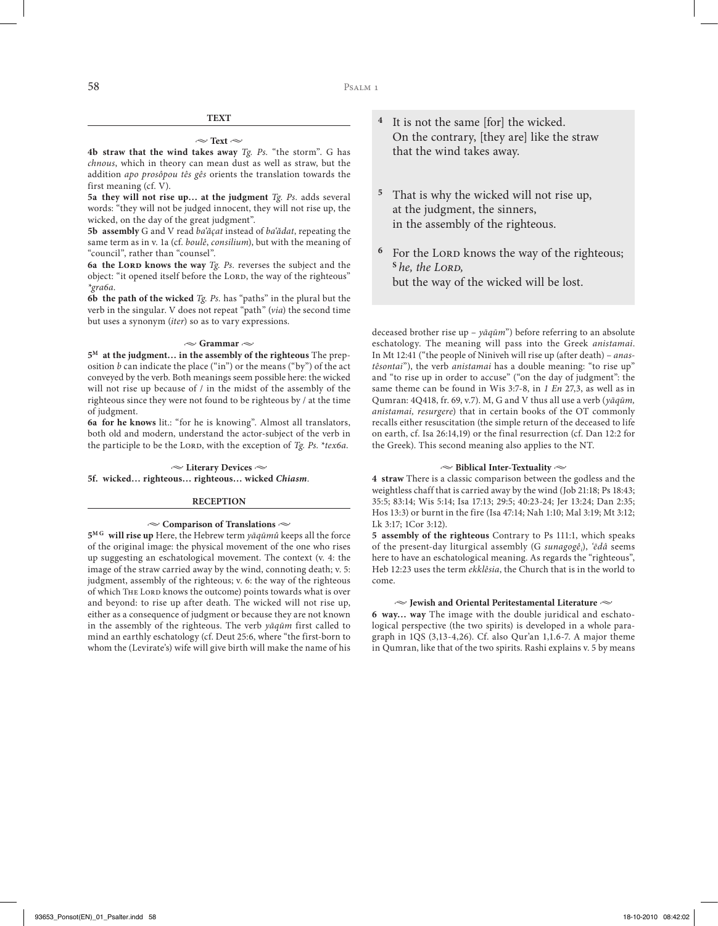#### $\sim$  Text  $\sim$

**4b straw that the wind takes away** *Tg. Ps.* "the storm". G has *chnous*, which in theory can mean dust as well as straw, but the addition *apo prosôpou tês gês* orients the translation towards the first meaning (cf. V).

**5a they will not rise up… at the judgment** *Tg. Ps.* adds several words: "they will not be judged innocent, they will not rise up, the wicked, on the day of the great judgment".

**5b assembly** G and V read *ba'ăçat* instead of *ba'ădat*, repeating the same term as in v. 1a (cf. *boulê*, *consilium*), but with the meaning of "council", rather than "counsel".

**6a the Lord knows the way** *Tg. Ps.* reverses the subject and the object: "it opened itself before the LORD, the way of the righteous" *\*gra6a*.

**6b the path of the wicked** *Tg. Ps.* has "paths" in the plural but the verb in the singular. V does not repeat "path" (*via*) the second time but uses a synonym (*iter*) so as to vary expressions.

## $\sim$  Grammar  $\sim$

**5M at the judgment… in the assembly of the righteous** The preposition  $b$  can indicate the place ("in") or the means ("by") of the act conveyed by the verb. Both meanings seem possible here: the wicked will not rise up because of / in the midst of the assembly of the righteous since they were not found to be righteous by / at the time of judgment.

**6a for he knows** lit.: "for he is knowing". Almost all translators, both old and modern, understand the actor-subject of the verb in the participle to be the LORD, with the exception of *Tg. Ps. \*tex6a*.

## **• Literary Devices • 5f. wicked… righteous… righteous… wicked** *Chiasm*.

## **RECEPTION**

#### **• Comparison of Translations •**

**5M G will rise up** Here, the Hebrew term *yāqūmû* keeps all the force of the original image: the physical movement of the one who rises up suggesting an eschatological movement. The context (v. 4: the image of the straw carried away by the wind, connoting death; v. 5: judgment, assembly of the righteous; v. 6: the way of the righteous of which THE LORD knows the outcome) points towards what is over and beyond: to rise up after death. The wicked will not rise up, either as a consequence of judgment or because they are not known in the assembly of the righteous. The verb *yāqūm* first called to mind an earthly eschatology (cf. Deut 25:6, where "the first-born to whom the (Levirate's) wife will give birth will make the name of his

- **<sup>4</sup>** It is not the same [for] the wicked. On the contrary, [they are] like the straw that the wind takes away.
- **<sup>5</sup>** That is why the wicked will not rise up, at the judgment, the sinners, in the assembly of the righteous.
- <sup>6</sup> For the LORD knows the way of the righteous;  $<sup>S</sup>$ *he, the LORD,*</sup> but the way of the wicked will be lost.

deceased brother rise up – *yāqūm*") before referring to an absolute eschatology. The meaning will pass into the Greek *anistamai*. In Mt 12:41 ("the people of Niniveh will rise up (after death) – *anastêsontai*"), the verb *anistamai* has a double meaning: "to rise up" and "to rise up in order to accuse" ("on the day of judgment": the same theme can be found in Wis 3:7-8, in *1 En* 27,3, as well as in Qumran: 4Q418, fr. 69, v.7). M, G and V thus all use a verb (*yāqūm, anistamai, resurgere*) that in certain books of the OT commonly recalls either resuscitation (the simple return of the deceased to life on earth, cf. Isa 26:14,19) or the final resurrection (cf. Dan 12:2 for the Greek). This second meaning also applies to the NT.

#### **• Biblical Inter-Textuality •**

**4 straw** There is a classic comparison between the godless and the weightless chaff that is carried away by the wind (Job 21:18; Ps 18:43; 35:5; 83:14; Wis 5:14; Isa 17:13; 29:5; 40:23-24; Jer 13:24; Dan 2:35; Hos 13:3) or burnt in the fire (Isa 47:14; Nah 1:10; Mal 3:19; Mt 3:12; Lk 3:17; 1Cor 3:12).

**5 assembly of the righteous** Contrary to Ps 111:1, which speaks of the present-day liturgical assembly (G *sunagogêi* ), *'ēdâ* seems here to have an eschatological meaning. As regards the "righteous", Heb 12:23 uses the term *ekklêsia*, the Church that is in the world to come.

#### $\sim$  Jewish and Oriental Peritestamental Literature  $\sim$

**6 way… way** The image with the double juridical and eschatological perspective (the two spirits) is developed in a whole paragraph in 1QS (3,13-4,26). Cf. also Qur'an 1,1.6-7. A major theme in Qumran, like that of the two spirits. Rashi explains v. 5 by means